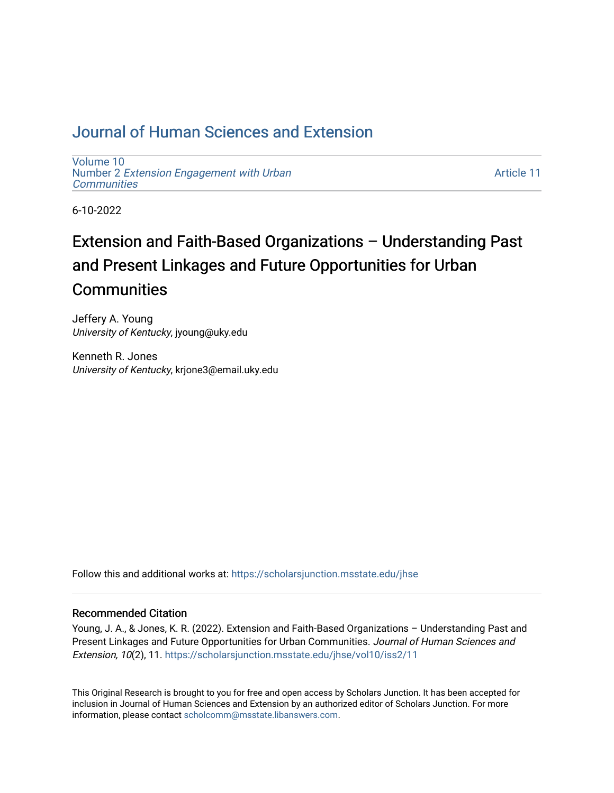# [Journal of Human Sciences and Extension](https://scholarsjunction.msstate.edu/jhse)

[Volume 10](https://scholarsjunction.msstate.edu/jhse/vol10) Number 2 [Extension Engagement with Urban](https://scholarsjunction.msstate.edu/jhse/vol10/iss2) **[Communities](https://scholarsjunction.msstate.edu/jhse/vol10/iss2)** 

[Article 11](https://scholarsjunction.msstate.edu/jhse/vol10/iss2/11) 

6-10-2022

# Extension and Faith-Based Organizations – Understanding Past and Present Linkages and Future Opportunities for Urban **Communities**

Jeffery A. Young University of Kentucky, jyoung@uky.edu

Kenneth R. Jones University of Kentucky, krjone3@email.uky.edu

Follow this and additional works at: [https://scholarsjunction.msstate.edu/jhse](https://scholarsjunction.msstate.edu/jhse?utm_source=scholarsjunction.msstate.edu%2Fjhse%2Fvol10%2Fiss2%2F11&utm_medium=PDF&utm_campaign=PDFCoverPages)

#### Recommended Citation

Young, J. A., & Jones, K. R. (2022). Extension and Faith-Based Organizations – Understanding Past and Present Linkages and Future Opportunities for Urban Communities. Journal of Human Sciences and Extension, 10(2), 11. [https://scholarsjunction.msstate.edu/jhse/vol10/iss2/11](https://scholarsjunction.msstate.edu/jhse/vol10/iss2/11?utm_source=scholarsjunction.msstate.edu%2Fjhse%2Fvol10%2Fiss2%2F11&utm_medium=PDF&utm_campaign=PDFCoverPages) 

This Original Research is brought to you for free and open access by Scholars Junction. It has been accepted for inclusion in Journal of Human Sciences and Extension by an authorized editor of Scholars Junction. For more information, please contact [scholcomm@msstate.libanswers.com](mailto:scholcomm@msstate.libanswers.com).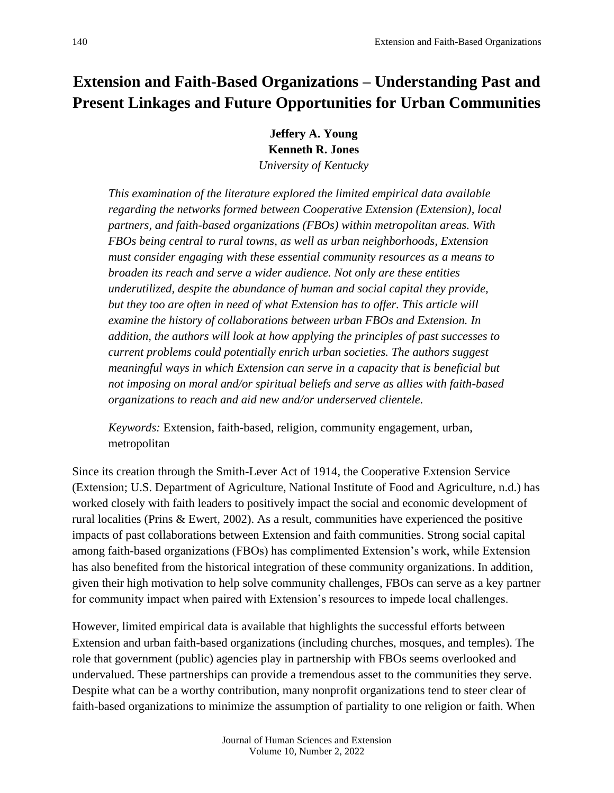# **Extension and Faith-Based Organizations – Understanding Past and Present Linkages and Future Opportunities for Urban Communities**

**Jeffery A. Young Kenneth R. Jones** *University of Kentucky*

*This examination of the literature explored the limited empirical data available regarding the networks formed between Cooperative Extension (Extension), local partners, and faith-based organizations (FBOs) within metropolitan areas. With FBOs being central to rural towns, as well as urban neighborhoods, Extension must consider engaging with these essential community resources as a means to broaden its reach and serve a wider audience. Not only are these entities underutilized, despite the abundance of human and social capital they provide,*  but they too are often in need of what Extension has to offer. This article will *examine the history of collaborations between urban FBOs and Extension. In addition, the authors will look at how applying the principles of past successes to current problems could potentially enrich urban societies. The authors suggest meaningful ways in which Extension can serve in a capacity that is beneficial but not imposing on moral and/or spiritual beliefs and serve as allies with faith-based organizations to reach and aid new and/or underserved clientele.*

*Keywords:* Extension, faith-based, religion, community engagement, urban, metropolitan

Since its creation through the Smith-Lever Act of 1914, the Cooperative Extension Service (Extension; U.S. Department of Agriculture, National Institute of Food and Agriculture, n.d.) has worked closely with faith leaders to positively impact the social and economic development of rural localities (Prins & Ewert, 2002). As a result, communities have experienced the positive impacts of past collaborations between Extension and faith communities. Strong social capital among faith-based organizations (FBOs) has complimented Extension's work, while Extension has also benefited from the historical integration of these community organizations. In addition, given their high motivation to help solve community challenges, FBOs can serve as a key partner for community impact when paired with Extension's resources to impede local challenges.

However, limited empirical data is available that highlights the successful efforts between Extension and urban faith-based organizations (including churches, mosques, and temples). The role that government (public) agencies play in partnership with FBOs seems overlooked and undervalued. These partnerships can provide a tremendous asset to the communities they serve. Despite what can be a worthy contribution, many nonprofit organizations tend to steer clear of faith-based organizations to minimize the assumption of partiality to one religion or faith. When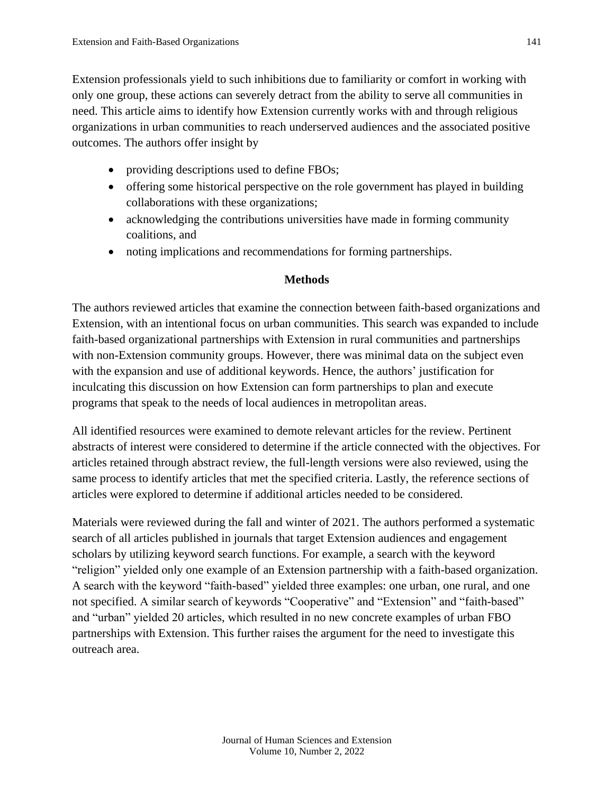Extension professionals yield to such inhibitions due to familiarity or comfort in working with only one group, these actions can severely detract from the ability to serve all communities in need. This article aims to identify how Extension currently works with and through religious organizations in urban communities to reach underserved audiences and the associated positive outcomes. The authors offer insight by

- providing descriptions used to define FBOs;
- offering some historical perspective on the role government has played in building collaborations with these organizations;
- acknowledging the contributions universities have made in forming community coalitions, and
- noting implications and recommendations for forming partnerships.

#### **Methods**

The authors reviewed articles that examine the connection between faith-based organizations and Extension, with an intentional focus on urban communities. This search was expanded to include faith-based organizational partnerships with Extension in rural communities and partnerships with non-Extension community groups. However, there was minimal data on the subject even with the expansion and use of additional keywords. Hence, the authors' justification for inculcating this discussion on how Extension can form partnerships to plan and execute programs that speak to the needs of local audiences in metropolitan areas.

All identified resources were examined to demote relevant articles for the review. Pertinent abstracts of interest were considered to determine if the article connected with the objectives. For articles retained through abstract review, the full-length versions were also reviewed, using the same process to identify articles that met the specified criteria. Lastly, the reference sections of articles were explored to determine if additional articles needed to be considered.

Materials were reviewed during the fall and winter of 2021. The authors performed a systematic search of all articles published in journals that target Extension audiences and engagement scholars by utilizing keyword search functions. For example, a search with the keyword "religion" yielded only one example of an Extension partnership with a faith-based organization. A search with the keyword "faith-based" yielded three examples: one urban, one rural, and one not specified. A similar search of keywords "Cooperative" and "Extension" and "faith-based" and "urban" yielded 20 articles, which resulted in no new concrete examples of urban FBO partnerships with Extension. This further raises the argument for the need to investigate this outreach area.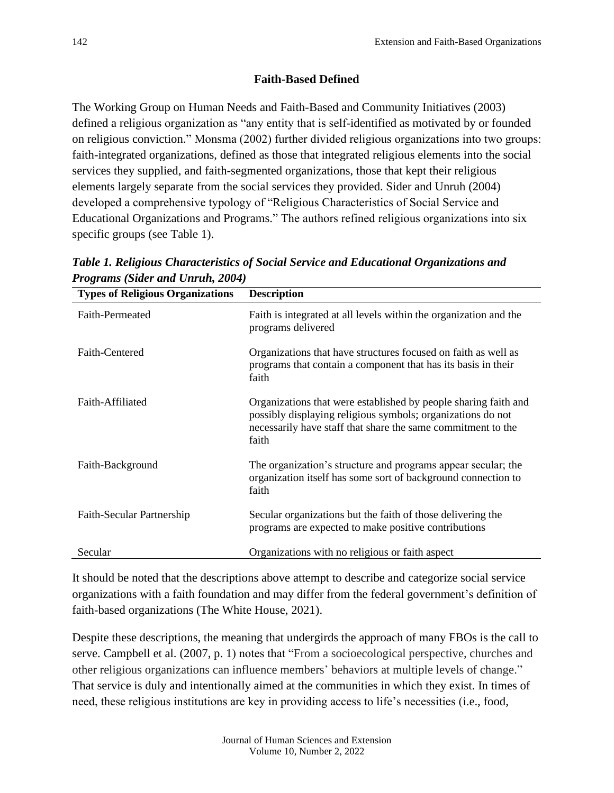## **Faith-Based Defined**

The Working Group on Human Needs and Faith-Based and Community Initiatives (2003) defined a religious organization as "any entity that is self-identified as motivated by or founded on religious conviction." Monsma (2002) further divided religious organizations into two groups: faith-integrated organizations, defined as those that integrated religious elements into the social services they supplied, and faith-segmented organizations, those that kept their religious elements largely separate from the social services they provided. Sider and Unruh (2004) developed a comprehensive typology of "Religious Characteristics of Social Service and Educational Organizations and Programs." The authors refined religious organizations into six specific groups (see Table 1).

| <b>Types of Religious Organizations</b> | <b>Description</b>                                                                                                                                                                                      |
|-----------------------------------------|---------------------------------------------------------------------------------------------------------------------------------------------------------------------------------------------------------|
| Faith-Permeated                         | Faith is integrated at all levels within the organization and the<br>programs delivered                                                                                                                 |
| Faith-Centered                          | Organizations that have structures focused on faith as well as<br>programs that contain a component that has its basis in their<br>faith                                                                |
| Faith-Affiliated                        | Organizations that were established by people sharing faith and<br>possibly displaying religious symbols; organizations do not<br>necessarily have staff that share the same commitment to the<br>faith |
| Faith-Background                        | The organization's structure and programs appear secular; the<br>organization itself has some sort of background connection to<br>faith                                                                 |
| Faith-Secular Partnership               | Secular organizations but the faith of those delivering the<br>programs are expected to make positive contributions                                                                                     |
| Secular                                 | Organizations with no religious or faith aspect                                                                                                                                                         |

*Table 1. Religious Characteristics of Social Service and Educational Organizations and Programs (Sider and Unruh, 2004)*

It should be noted that the descriptions above attempt to describe and categorize social service organizations with a faith foundation and may differ from the federal government's definition of faith-based organizations (The White House, 2021).

Despite these descriptions, the meaning that undergirds the approach of many FBOs is the call to serve. Campbell et al. (2007, p. 1) notes that "From a socioecological perspective, churches and other religious organizations can influence members' behaviors at multiple levels of change." That service is duly and intentionally aimed at the communities in which they exist. In times of need, these religious institutions are key in providing access to life's necessities (i.e., food,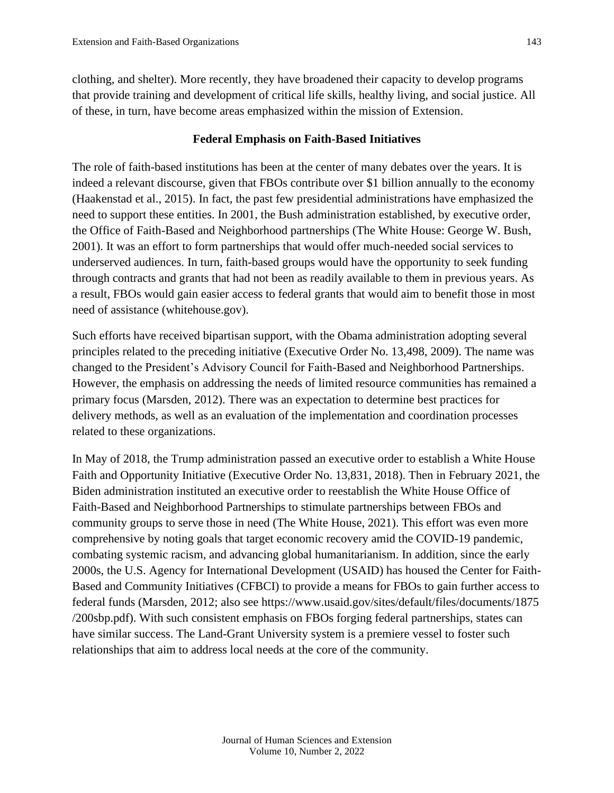clothing, and shelter). More recently, they have broadened their capacity to develop programs that provide training and development of critical life skills, healthy living, and social justice. All of these, in turn, have become areas emphasized within the mission of Extension.

#### **Federal Emphasis on Faith-Based Initiatives**

The role of faith-based institutions has been at the center of many debates over the years. It is indeed a relevant discourse, given that FBOs contribute over \$1 billion annually to the economy (Haakenstad et al., 2015). In fact, the past few presidential administrations have emphasized the need to support these entities. In 2001, the Bush administration established, by executive order, the Office of Faith-Based and Neighborhood partnerships (The White House: George W. Bush, 2001). It was an effort to form partnerships that would offer much-needed social services to underserved audiences. In turn, faith-based groups would have the opportunity to seek funding through contracts and grants that had not been as readily available to them in previous years. As a result, FBOs would gain easier access to federal grants that would aim to benefit those in most need of assistance (whitehouse.gov).

Such efforts have received bipartisan support, with the Obama administration adopting several principles related to the preceding initiative (Executive Order No. 13,498, 2009). The name was changed to the President's Advisory Council for Faith-Based and Neighborhood Partnerships. However, the emphasis on addressing the needs of limited resource communities has remained a primary focus (Marsden, 2012). There was an expectation to determine best practices for delivery methods, as well as an evaluation of the implementation and coordination processes related to these organizations.

In May of 2018, the Trump administration passed an executive order to establish a White House Faith and Opportunity Initiative (Executive Order No. 13,831, 2018). Then in February 2021, the Biden administration instituted an executive order to reestablish the White House Office of Faith-Based and Neighborhood Partnerships to stimulate partnerships between FBOs and community groups to serve those in need (The White House, 2021). This effort was even more comprehensive by noting goals that target economic recovery amid the COVID-19 pandemic, combating systemic racism, and advancing global humanitarianism. In addition, since the early 2000s, the U.S. Agency for International Development (USAID) has housed the Center for Faith-Based and Community Initiatives (CFBCI) to provide a means for FBOs to gain further access to federal funds (Marsden, 2012; also see https://www.usaid.gov/sites/default/files/documents/1875 /200sbp.pdf). With such consistent emphasis on FBOs forging federal partnerships, states can have similar success. The Land-Grant University system is a premiere vessel to foster such relationships that aim to address local needs at the core of the community.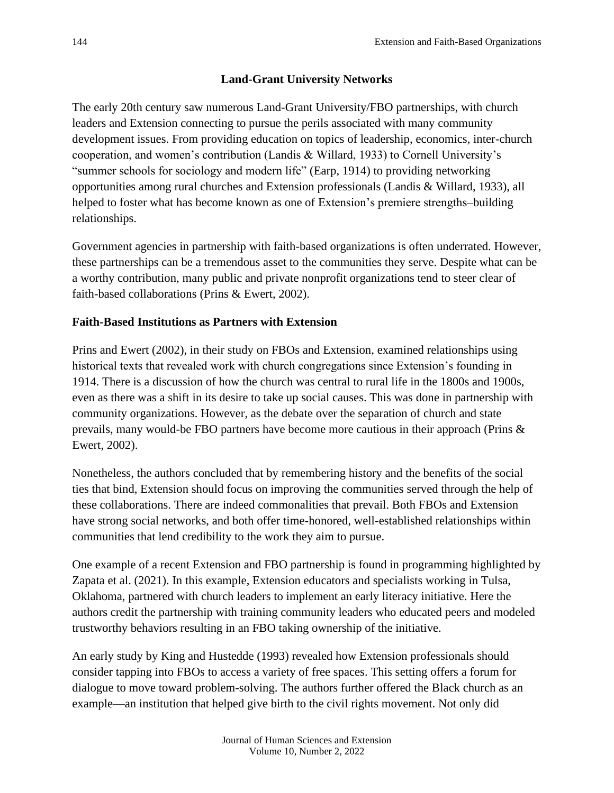## **Land-Grant University Networks**

The early 20th century saw numerous Land-Grant University/FBO partnerships, with church leaders and Extension connecting to pursue the perils associated with many community development issues. From providing education on topics of leadership, economics, inter-church cooperation, and women's contribution (Landis & Willard, 1933) to Cornell University's "summer schools for sociology and modern life" (Earp, 1914) to providing networking opportunities among rural churches and Extension professionals (Landis & Willard, 1933), all helped to foster what has become known as one of Extension's premiere strengths–building relationships.

Government agencies in partnership with faith-based organizations is often underrated. However, these partnerships can be a tremendous asset to the communities they serve. Despite what can be a worthy contribution, many public and private nonprofit organizations tend to steer clear of faith-based collaborations (Prins & Ewert, 2002).

#### **Faith-Based Institutions as Partners with Extension**

Prins and Ewert (2002), in their study on FBOs and Extension, examined relationships using historical texts that revealed work with church congregations since Extension's founding in 1914. There is a discussion of how the church was central to rural life in the 1800s and 1900s, even as there was a shift in its desire to take up social causes. This was done in partnership with community organizations. However, as the debate over the separation of church and state prevails, many would-be FBO partners have become more cautious in their approach (Prins & Ewert, 2002).

Nonetheless, the authors concluded that by remembering history and the benefits of the social ties that bind, Extension should focus on improving the communities served through the help of these collaborations. There are indeed commonalities that prevail. Both FBOs and Extension have strong social networks, and both offer time-honored, well-established relationships within communities that lend credibility to the work they aim to pursue.

One example of a recent Extension and FBO partnership is found in programming highlighted by Zapata et al. (2021). In this example, Extension educators and specialists working in Tulsa, Oklahoma, partnered with church leaders to implement an early literacy initiative. Here the authors credit the partnership with training community leaders who educated peers and modeled trustworthy behaviors resulting in an FBO taking ownership of the initiative.

An early study by King and Hustedde (1993) revealed how Extension professionals should consider tapping into FBOs to access a variety of free spaces. This setting offers a forum for dialogue to move toward problem-solving. The authors further offered the Black church as an example—an institution that helped give birth to the civil rights movement. Not only did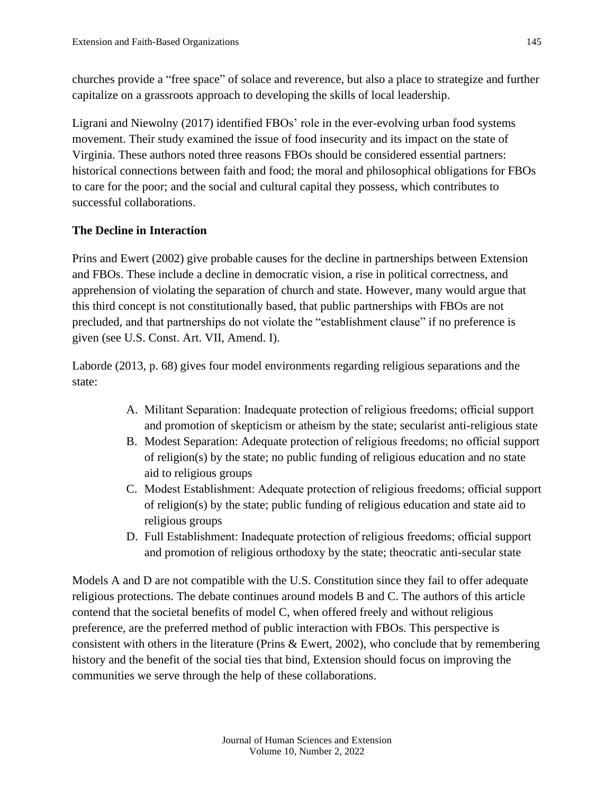churches provide a "free space" of solace and reverence, but also a place to strategize and further capitalize on a grassroots approach to developing the skills of local leadership.

Ligrani and Niewolny (2017) identified FBOs' role in the ever-evolving urban food systems movement. Their study examined the issue of food insecurity and its impact on the state of Virginia. These authors noted three reasons FBOs should be considered essential partners: historical connections between faith and food; the moral and philosophical obligations for FBOs to care for the poor; and the social and cultural capital they possess, which contributes to successful collaborations.

## **The Decline in Interaction**

Prins and Ewert (2002) give probable causes for the decline in partnerships between Extension and FBOs. These include a decline in democratic vision, a rise in political correctness, and apprehension of violating the separation of church and state. However, many would argue that this third concept is not constitutionally based, that public partnerships with FBOs are not precluded, and that partnerships do not violate the "establishment clause" if no preference is given (see U.S. Const. Art. VII, Amend. I).

Laborde (2013, p. 68) gives four model environments regarding religious separations and the state:

- A. Militant Separation: Inadequate protection of religious freedoms; official support and promotion of skepticism or atheism by the state; secularist anti-religious state
- B. Modest Separation: Adequate protection of religious freedoms; no official support of religion(s) by the state; no public funding of religious education and no state aid to religious groups
- C. Modest Establishment: Adequate protection of religious freedoms; official support of religion(s) by the state; public funding of religious education and state aid to religious groups
- D. Full Establishment: Inadequate protection of religious freedoms; official support and promotion of religious orthodoxy by the state; theocratic anti-secular state

Models A and D are not compatible with the U.S. Constitution since they fail to offer adequate religious protections. The debate continues around models B and C. The authors of this article contend that the societal benefits of model C, when offered freely and without religious preference, are the preferred method of public interaction with FBOs. This perspective is consistent with others in the literature (Prins & Ewert, 2002), who conclude that by remembering history and the benefit of the social ties that bind, Extension should focus on improving the communities we serve through the help of these collaborations.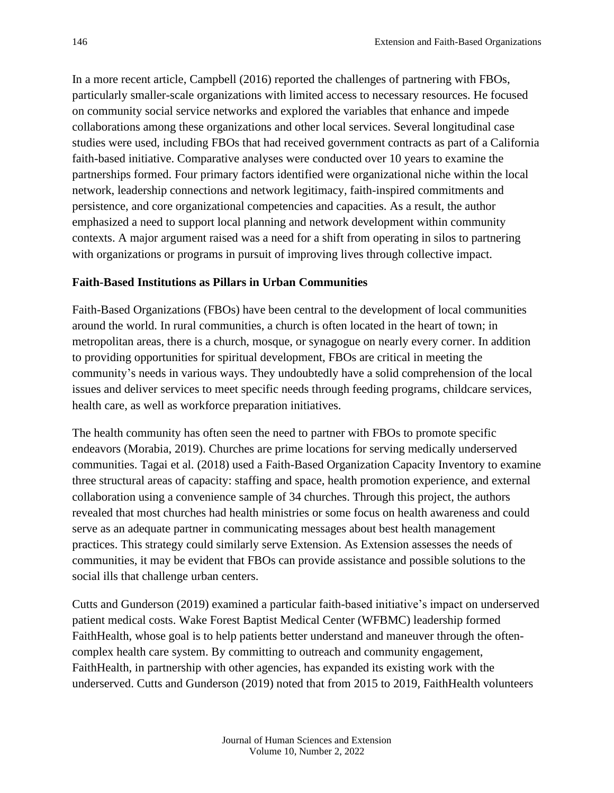In a more recent article, Campbell (2016) reported the challenges of partnering with FBOs, particularly smaller-scale organizations with limited access to necessary resources. He focused on community social service networks and explored the variables that enhance and impede collaborations among these organizations and other local services. Several longitudinal case studies were used, including FBOs that had received government contracts as part of a California faith-based initiative. Comparative analyses were conducted over 10 years to examine the partnerships formed. Four primary factors identified were organizational niche within the local network, leadership connections and network legitimacy, faith-inspired commitments and persistence, and core organizational competencies and capacities. As a result, the author emphasized a need to support local planning and network development within community contexts. A major argument raised was a need for a shift from operating in silos to partnering with organizations or programs in pursuit of improving lives through collective impact.

#### **Faith-Based Institutions as Pillars in Urban Communities**

Faith-Based Organizations (FBOs) have been central to the development of local communities around the world. In rural communities, a church is often located in the heart of town; in metropolitan areas, there is a church, mosque, or synagogue on nearly every corner. In addition to providing opportunities for spiritual development, FBOs are critical in meeting the community's needs in various ways. They undoubtedly have a solid comprehension of the local issues and deliver services to meet specific needs through feeding programs, childcare services, health care, as well as workforce preparation initiatives.

The health community has often seen the need to partner with FBOs to promote specific endeavors (Morabia, 2019). Churches are prime locations for serving medically underserved communities. Tagai et al. (2018) used a Faith-Based Organization Capacity Inventory to examine three structural areas of capacity: staffing and space, health promotion experience, and external collaboration using a convenience sample of 34 churches. Through this project, the authors revealed that most churches had health ministries or some focus on health awareness and could serve as an adequate partner in communicating messages about best health management practices. This strategy could similarly serve Extension. As Extension assesses the needs of communities, it may be evident that FBOs can provide assistance and possible solutions to the social ills that challenge urban centers.

Cutts and Gunderson (2019) examined a particular faith-based initiative's impact on underserved patient medical costs. Wake Forest Baptist Medical Center (WFBMC) leadership formed FaithHealth, whose goal is to help patients better understand and maneuver through the oftencomplex health care system. By committing to outreach and community engagement, FaithHealth, in partnership with other agencies, has expanded its existing work with the underserved. Cutts and Gunderson (2019) noted that from 2015 to 2019, FaithHealth volunteers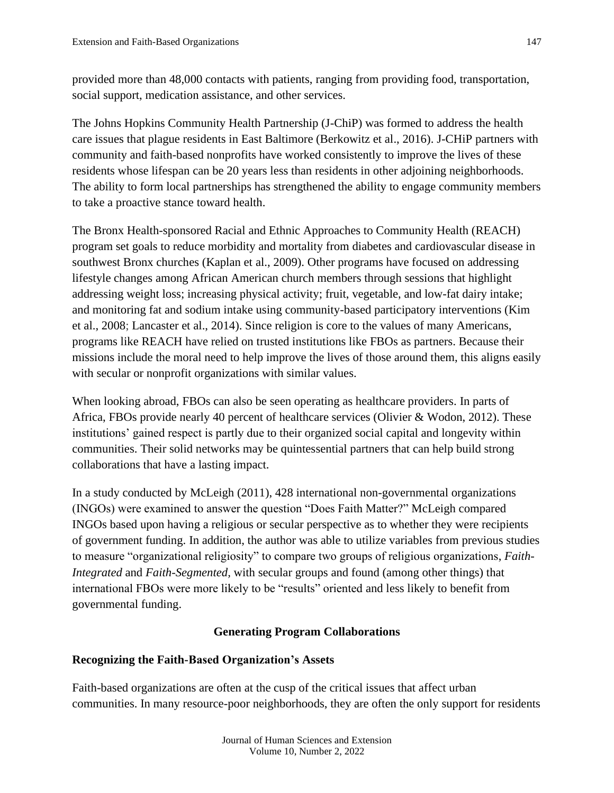provided more than 48,000 contacts with patients, ranging from providing food, transportation, social support, medication assistance, and other services.

The Johns Hopkins Community Health Partnership (J-ChiP) was formed to address the health care issues that plague residents in East Baltimore (Berkowitz et al., 2016). J-CHiP partners with community and faith-based nonprofits have worked consistently to improve the lives of these residents whose lifespan can be 20 years less than residents in other adjoining neighborhoods. The ability to form local partnerships has strengthened the ability to engage community members to take a proactive stance toward health.

The Bronx Health-sponsored Racial and Ethnic Approaches to Community Health (REACH) program set goals to reduce morbidity and mortality from diabetes and cardiovascular disease in southwest Bronx churches (Kaplan et al., 2009). Other programs have focused on addressing lifestyle changes among African American church members through sessions that highlight addressing weight loss; increasing physical activity; fruit, vegetable, and low-fat dairy intake; and monitoring fat and sodium intake using community-based participatory interventions (Kim et al., 2008; Lancaster et al., 2014). Since religion is core to the values of many Americans, programs like REACH have relied on trusted institutions like FBOs as partners. Because their missions include the moral need to help improve the lives of those around them, this aligns easily with secular or nonprofit organizations with similar values.

When looking abroad, FBOs can also be seen operating as healthcare providers. In parts of Africa, FBOs provide nearly 40 percent of healthcare services (Olivier & Wodon, 2012). These institutions' gained respect is partly due to their organized social capital and longevity within communities. Their solid networks may be quintessential partners that can help build strong collaborations that have a lasting impact.

In a study conducted by McLeigh (2011), 428 international non-governmental organizations (INGOs) were examined to answer the question "Does Faith Matter?" McLeigh compared INGOs based upon having a religious or secular perspective as to whether they were recipients of government funding. In addition, the author was able to utilize variables from previous studies to measure "organizational religiosity" to compare two groups of religious organizations, *Faith-Integrated* and *Faith-Segmented,* with secular groups and found (among other things) that international FBOs were more likely to be "results" oriented and less likely to benefit from governmental funding.

#### **Generating Program Collaborations**

## **Recognizing the Faith-Based Organization's Assets**

Faith-based organizations are often at the cusp of the critical issues that affect urban communities. In many resource-poor neighborhoods, they are often the only support for residents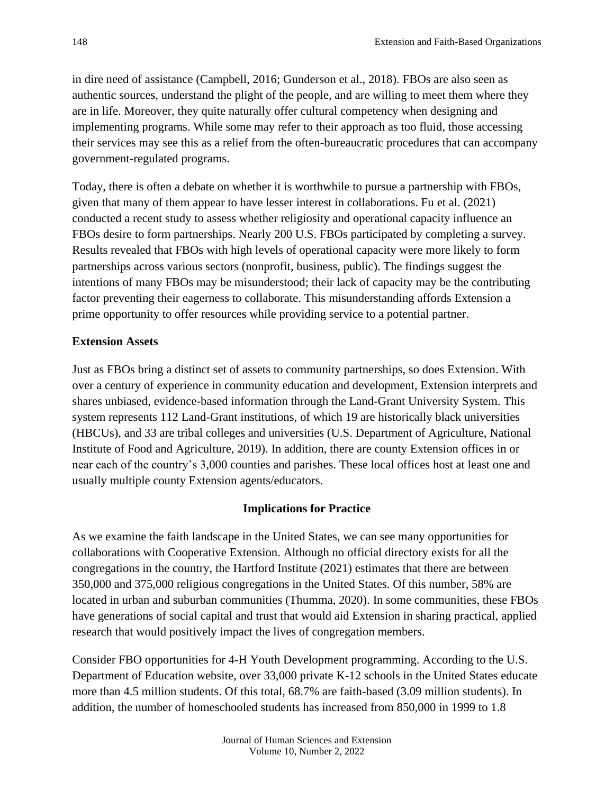in dire need of assistance (Campbell, 2016; Gunderson et al., 2018). FBOs are also seen as authentic sources, understand the plight of the people, and are willing to meet them where they are in life. Moreover, they quite naturally offer cultural competency when designing and implementing programs. While some may refer to their approach as too fluid, those accessing their services may see this as a relief from the often-bureaucratic procedures that can accompany government-regulated programs.

Today, there is often a debate on whether it is worthwhile to pursue a partnership with FBOs, given that many of them appear to have lesser interest in collaborations. Fu et al. (2021) conducted a recent study to assess whether religiosity and operational capacity influence an FBOs desire to form partnerships. Nearly 200 U.S. FBOs participated by completing a survey. Results revealed that FBOs with high levels of operational capacity were more likely to form partnerships across various sectors (nonprofit, business, public). The findings suggest the intentions of many FBOs may be misunderstood; their lack of capacity may be the contributing factor preventing their eagerness to collaborate. This misunderstanding affords Extension a prime opportunity to offer resources while providing service to a potential partner.

#### **Extension Assets**

Just as FBOs bring a distinct set of assets to community partnerships, so does Extension. With over a century of experience in community education and development, Extension interprets and shares unbiased, evidence-based information through the Land-Grant University System. This system represents 112 Land-Grant institutions, of which 19 are historically black universities (HBCUs), and 33 are tribal colleges and universities (U.S. Department of Agriculture, National Institute of Food and Agriculture, 2019). In addition, there are county Extension offices in or near each of the country's 3,000 counties and parishes. These local offices host at least one and usually multiple county Extension agents/educators.

#### **Implications for Practice**

As we examine the faith landscape in the United States, we can see many opportunities for collaborations with Cooperative Extension. Although no official directory exists for all the congregations in the country, the Hartford Institute (2021) estimates that there are between 350,000 and 375,000 religious congregations in the United States. Of this number, 58% are located in urban and suburban communities (Thumma, 2020). In some communities, these FBOs have generations of social capital and trust that would aid Extension in sharing practical, applied research that would positively impact the lives of congregation members.

Consider FBO opportunities for 4-H Youth Development programming. According to the U.S. Department of Education website, over 33,000 private K-12 schools in the United States educate more than 4.5 million students. Of this total, 68.7% are faith-based (3.09 million students). In addition, the number of homeschooled students has increased from 850,000 in 1999 to 1.8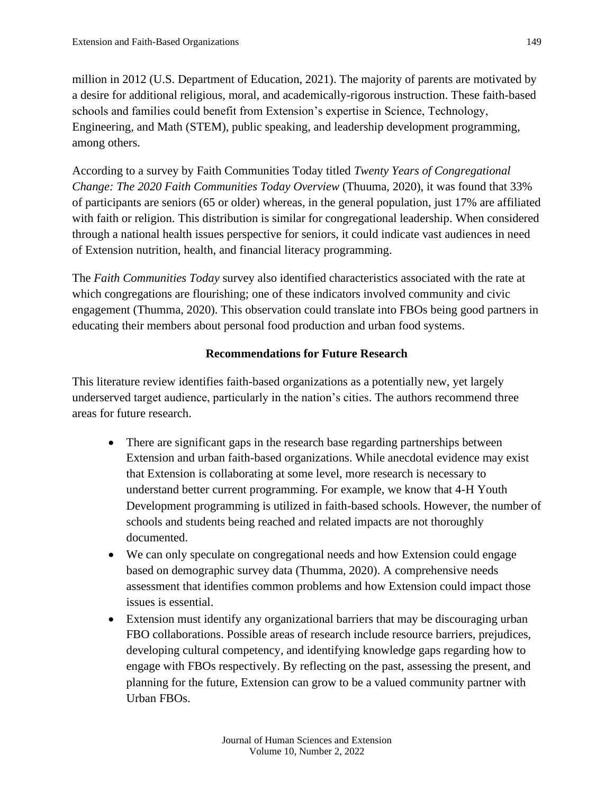million in 2012 (U.S. Department of Education, 2021). The majority of parents are motivated by a desire for additional religious, moral, and academically-rigorous instruction. These faith-based schools and families could benefit from Extension's expertise in Science, Technology, Engineering, and Math (STEM), public speaking, and leadership development programming, among others.

According to a survey by Faith Communities Today titled *Twenty Years of Congregational Change: The 2020 Faith Communities Today Overview* (Thuuma, 2020), it was found that 33% of participants are seniors (65 or older) whereas, in the general population, just 17% are affiliated with faith or religion. This distribution is similar for congregational leadership. When considered through a national health issues perspective for seniors, it could indicate vast audiences in need of Extension nutrition, health, and financial literacy programming.

The *Faith Communities Today* survey also identified characteristics associated with the rate at which congregations are flourishing; one of these indicators involved community and civic engagement (Thumma, 2020). This observation could translate into FBOs being good partners in educating their members about personal food production and urban food systems.

#### **Recommendations for Future Research**

This literature review identifies faith-based organizations as a potentially new, yet largely underserved target audience, particularly in the nation's cities. The authors recommend three areas for future research.

- There are significant gaps in the research base regarding partnerships between Extension and urban faith-based organizations. While anecdotal evidence may exist that Extension is collaborating at some level, more research is necessary to understand better current programming. For example, we know that 4-H Youth Development programming is utilized in faith-based schools. However, the number of schools and students being reached and related impacts are not thoroughly documented.
- We can only speculate on congregational needs and how Extension could engage based on demographic survey data (Thumma, 2020). A comprehensive needs assessment that identifies common problems and how Extension could impact those issues is essential.
- Extension must identify any organizational barriers that may be discouraging urban FBO collaborations. Possible areas of research include resource barriers, prejudices, developing cultural competency, and identifying knowledge gaps regarding how to engage with FBOs respectively. By reflecting on the past, assessing the present, and planning for the future, Extension can grow to be a valued community partner with Urban FBOs.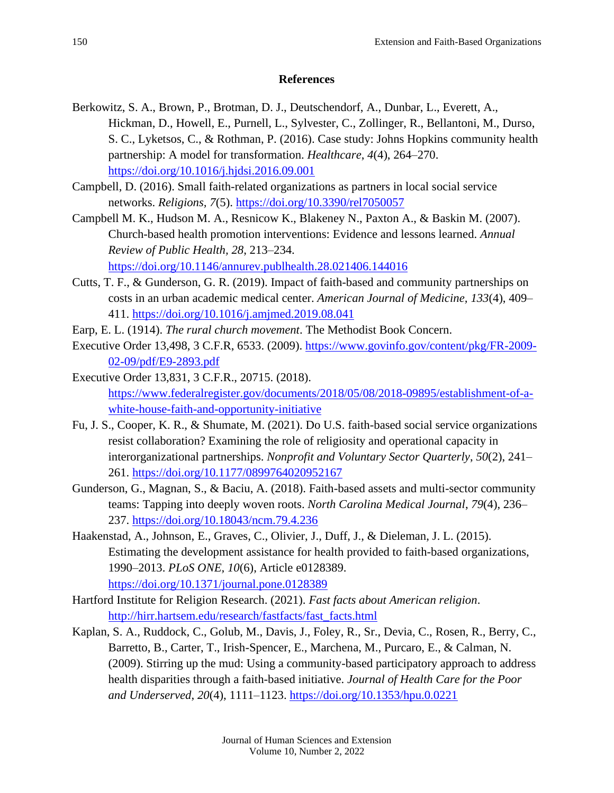#### **References**

- Berkowitz, S. A., Brown, P., Brotman, D. J., Deutschendorf, A., Dunbar, L., Everett, A., Hickman, D., Howell, E., Purnell, L., Sylvester, C., Zollinger, R., Bellantoni, M., Durso, S. C., Lyketsos, C., & Rothman, P. (2016). Case study: Johns Hopkins community health partnership: A model for transformation. *Healthcare*, *4*(4), 264–270[.](https://doi.org/10.1016/j.hjdsi.2016.09.001) <https://doi.org/10.1016/j.hjdsi.2016.09.001>
- Campbell, D. (2016). Small faith-related organizations as partners in local social service networks. *Religions, 7*(5).<https://doi.org/10.3390/rel7050057>
- Campbell M. K., Hudson M. A., Resnicow K., Blakeney N., Paxton A., & Baskin M. (2007). Church-based health promotion interventions: Evidence and lessons learned. *Annual Review of Public Health, 28*, 213–234.

<https://doi.org/10.1146/annurev.publhealth.28.021406.144016>

- Cutts, T. F., & Gunderson, G. R. (2019). Impact of faith-based and community partnerships on costs in an urban academic medical center. *American Journal of Medicine, 133*(4), 409– 411.<https://doi.org/10.1016/j.amjmed.2019.08.041>
- Earp, E. L. (1914). *The rural church movement*. The Methodist Book Concern.
- Executive Order 13,498, 3 C.F.R, 6533. (2009). [https://www.govinfo.gov/content/pkg/FR-2009-](https://www.govinfo.gov/content/pkg/FR-2009-02-09/pdf/E9-2893.pdf) [02-09/pdf/E9-2893.pdf](https://www.govinfo.gov/content/pkg/FR-2009-02-09/pdf/E9-2893.pdf)
- Executive Order 13,831, 3 C.F.R., 20715. (2018). [https://www.federalregister.gov/documents/2018/05/08/2018-09895/establishment-of-a](https://www.federalregister.gov/documents/2018/05/08/2018-09895/establishment-of-a-white-house-faith-and-opportunity-initiative)[white-house-faith-and-opportunity-initiative](https://www.federalregister.gov/documents/2018/05/08/2018-09895/establishment-of-a-white-house-faith-and-opportunity-initiative)
- Fu, J. S., Cooper, K. R., & Shumate, M. (2021). Do U.S. faith-based social service organizations resist collaboration? Examining the role of religiosity and operational capacity in interorganizational partnerships. *Nonprofit and Voluntary Sector Quarterly*, *50*(2), 241– 261.<https://doi.org/10.1177/0899764020952167>
- Gunderson, G., Magnan, S., & Baciu, A. (2018). Faith-based assets and multi-sector community teams: Tapping into deeply woven roots. *North Carolina Medical Journal*, *79*(4), 236– 237.<https://doi.org/10.18043/ncm.79.4.236>
- Haakenstad, A., Johnson, E., Graves, C., Olivier, J., Duff, J., & Dieleman, J. L. (2015). Estimating the development assistance for health provided to faith-based organizations, 1990–2013. *PLoS ONE, 10*(6), Article e0128389. <https://doi.org/10.1371/journal.pone.0128389>
- Hartford Institute for Religion Research. (2021). *Fast facts about American religion*. [http://hirr.hartsem.edu/research/fastfacts/fast\\_facts.html](http://hirr.hartsem.edu/research/fastfacts/fast_facts.html)
- Kaplan, S. A., Ruddock, C., Golub, M., Davis, J., Foley, R., Sr., Devia, C., Rosen, R., Berry, C., Barretto, B., Carter, T., Irish-Spencer, E., Marchena, M., Purcaro, E., & Calman, N. (2009). Stirring up the mud: Using a community-based participatory approach to address health disparities through a faith-based initiative. *Journal of Health Care for the Poor and Underserved*, *20*(4), 1111–1123[.](https://doi.org/10.1353/hpu.0.0221) <https://doi.org/10.1353/hpu.0.0221>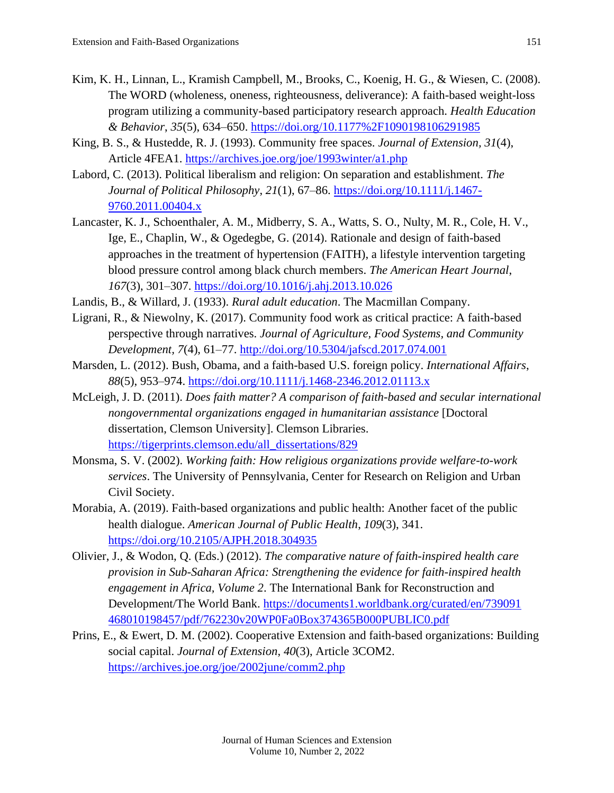- Kim, K. H., Linnan, L., Kramish Campbell, M., Brooks, C., Koenig, H. G., & Wiesen, C. (2008). The WORD (wholeness, oneness, righteousness, deliverance): A faith-based weight-loss program utilizing a community-based participatory research approach. *Health Education & Behavior*, *35*(5), 634–650. <https://doi.org/10.1177%2F1090198106291985>
- King, B. S., & Hustedde, R. J. (1993). Community free spaces. *Journal of Extension, 31*(4), Article 4FEA1.<https://archives.joe.org/joe/1993winter/a1.php>
- Labord, C. (2013). Political liberalism and religion: On separation and establishment. *The Journal of Political Philosophy*, *21*(1), 67–86. [https://doi.org/10.1111/j.1467-](https://doi.org/10.1111/j.1467-9760.2011.00404.x) [9760.2011.00404.x](https://doi.org/10.1111/j.1467-9760.2011.00404.x)
- Lancaster, K. J., Schoenthaler, A. M., Midberry, S. A., Watts, S. O., Nulty, M. R., Cole, H. V., Ige, E., Chaplin, W., & Ogedegbe, G. (2014). Rationale and design of faith-based approaches in the treatment of hypertension (FAITH), a lifestyle intervention targeting blood pressure control among black church members. *The American Heart Journal*, *167*(3), 301–307. <https://doi.org/10.1016/j.ahj.2013.10.026>
- Landis, B., & Willard, J. (1933). *Rural adult education*. The Macmillan Company.
- Ligrani, R., & Niewolny, K. (2017). Community food work as critical practice: A faith-based perspective through narratives. *Journal of Agriculture, Food Systems, and Community Development, 7*(4), 61–77.<http://doi.org/10.5304/jafscd.2017.074.001>
- Marsden, L. (2012). Bush, Obama, and a faith-based U.S. foreign policy. *International Affairs*, *88*(5), 953–974.<https://doi.org/10.1111/j.1468-2346.2012.01113.x>
- McLeigh, J. D. (2011). *Does faith matter? A comparison of faith-based and secular international nongovernmental organizations engaged in humanitarian assistance* [Doctoral dissertation, Clemson University]. Clemson Libraries. [https://tigerprints.clemson.edu/all\\_dissertations/829](https://tigerprints.clemson.edu/all_dissertations/829)
- Monsma, S. V. (2002). *Working faith: How religious organizations provide welfare-to-work services*. The University of Pennsylvania, Center for Research on Religion and Urban Civil Society.
- Morabia, A. (2019). Faith-based organizations and public health: Another facet of the public health dialogue. *American Journal of Public Health*, *109*(3), 341. <https://doi.org/10.2105/AJPH.2018.304935>
- Olivier, J., & Wodon, Q. (Eds.) (2012). *The comparative nature of faith-inspired health care provision in Sub-Saharan Africa: Strengthening the evidence for faith-inspired health engagement in Africa, Volume 2*. The International Bank for Reconstruction and Development/The World Bank. [https://documents1.worldbank.org/curated/en/739091](https://documents1.worldbank.org/curated/en/739091‌468010198457/pdf/762230v20WP0Fa0Box374365B000PUBLIC0.pdf) [468010198457/pdf/762230v20WP0Fa0Box374365B000PUBLIC0.pdf](https://documents1.worldbank.org/curated/en/739091‌468010198457/pdf/762230v20WP0Fa0Box374365B000PUBLIC0.pdf)
- Prins, E., & Ewert, D. M. (2002). Cooperative Extension and faith-based organizations: Building social capital. *Journal of Extension*, *40*(3), Article 3COM2. <https://archives.joe.org/joe/2002june/comm2.php>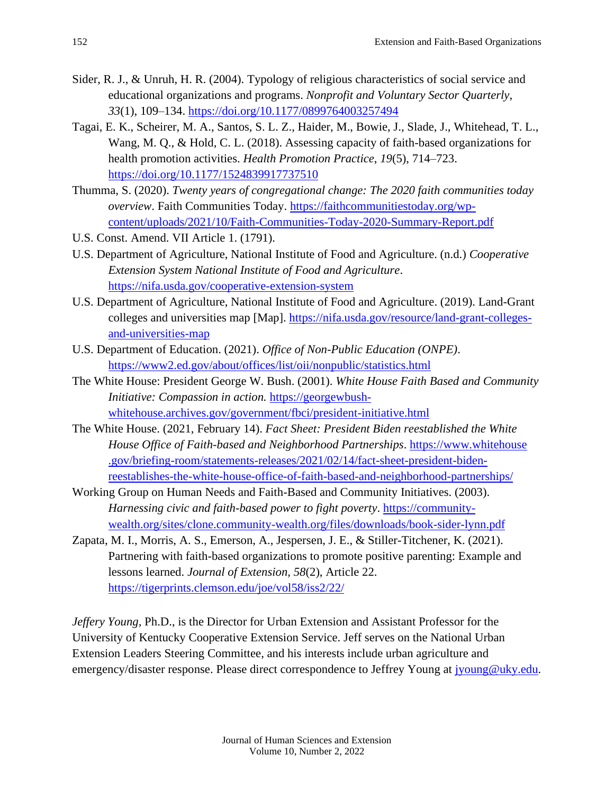- Sider, R. J., & Unruh, H. R. (2004). Typology of religious characteristics of social service and educational organizations and programs. *Nonprofit and Voluntary Sector Quarterly*, *33*(1), 109–134. <https://doi.org/10.1177/0899764003257494>
- Tagai, E. K., Scheirer, M. A., Santos, S. L. Z., Haider, M., Bowie, J., Slade, J., Whitehead, T. L., Wang, M. Q., & Hold, C. L. (2018). Assessing capacity of faith-based organizations for health promotion activities. *Health Promotion Practice*, *19*(5), 714–723. <https://doi.org/10.1177/1524839917737510>
- Thumma, S. (2020). *Twenty years of congregational change: The 2020 faith communities today overview*. Faith Communities Today. [https://faithcommunitiestoday.org/wp](https://faithcommunitiestoday.org/wp-content/uploads/2021/10/Faith-Communities-Today-2020-Summary-Report.pdf)[content/uploads/2021/10/Faith-Communities-Today-2020-Summary-Report.pdf](https://faithcommunitiestoday.org/wp-content/uploads/2021/10/Faith-Communities-Today-2020-Summary-Report.pdf)
- U.S. Const. Amend. VII Article 1. (1791).
- U.S. Department of Agriculture, National Institute of Food and Agriculture. (n.d.) *Cooperative Extension System National Institute of Food and Agriculture*. [https://nifa.usda.gov/cooperative-extension-system](https://www.nifa.usda.gov/about-nifa/how-we-work/extension/cooperative-extension-system)
- U.S. Department of Agriculture, National Institute of Food and Agriculture. (2019). Land-Grant colleges and universities map [Map]. [https://nifa.usda.gov/resource/land-grant-colleges](https://nifa.usda.gov/resource/land-grant-colleges-and-universities-map)[and-universities-map](https://nifa.usda.gov/resource/land-grant-colleges-and-universities-map)
- U.S. Department of Education. (2021). *Office of Non-Public Education (ONPE)*. <https://www2.ed.gov/about/offices/list/oii/nonpublic/statistics.html>
- The White House: President George W. Bush. (2001). *White House Faith Based and Community Initiative: Compassion in action.* [https://georgewbush](https://georgewbush-whitehouse.archives.gov/government/fbci/president-initiative.html)[whitehouse.archives.gov/government/fbci/president-initiative.html](https://georgewbush-whitehouse.archives.gov/government/fbci/president-initiative.html)
- The White House. (2021, February 14). *Fact Sheet: President Biden reestablished the White House Office of Faith-based and Neighborhood Partnerships*. [https://www.whitehouse](https://www.whitehouse.gov/briefing-room/statements-releases/2021/02/14/fact-sheet-president-biden-reestablishes-the-white-house-office-of-faith-based-and-neighborhood-partnerships/) [.gov/briefing-room/statements-releases/2021/02/14/fact-sheet-president-biden](https://www.whitehouse.gov/briefing-room/statements-releases/2021/02/14/fact-sheet-president-biden-reestablishes-the-white-house-office-of-faith-based-and-neighborhood-partnerships/)[reestablishes-the-white-house-office-of-faith-based-and-neighborhood-partnerships/](https://www.whitehouse.gov/briefing-room/statements-releases/2021/02/14/fact-sheet-president-biden-reestablishes-the-white-house-office-of-faith-based-and-neighborhood-partnerships/)
- Working Group on Human Needs and Faith-Based and Community Initiatives. (2003). *Harnessing civic and faith-based power to fight poverty*. [https://community](https://community-wealth.org/sites/clone.community-wealth.org/files/downloads/book-sider-lynn.pdf)[wealth.org/sites/clone.community-wealth.org/files/downloads/book-sider-lynn.pdf](https://community-wealth.org/sites/clone.community-wealth.org/files/downloads/book-sider-lynn.pdf)
- Zapata, M. I., Morris, A. S., Emerson, A., Jespersen, J. E., & Stiller-Titchener, K. (2021). Partnering with faith-based organizations to promote positive parenting: Example and lessons learned. *Journal of Extension, 58*(2), Article 22. <https://tigerprints.clemson.edu/joe/vol58/iss2/22/>

*Jeffery Young,* Ph.D., is the Director for Urban Extension and Assistant Professor for the University of Kentucky Cooperative Extension Service. Jeff serves on the National Urban Extension Leaders Steering Committee, and his interests include urban agriculture and emergency/disaster response. Please direct correspondence to Jeffrey Young at [jyoung@uky.edu.](mailto:jyoung@uky.edu)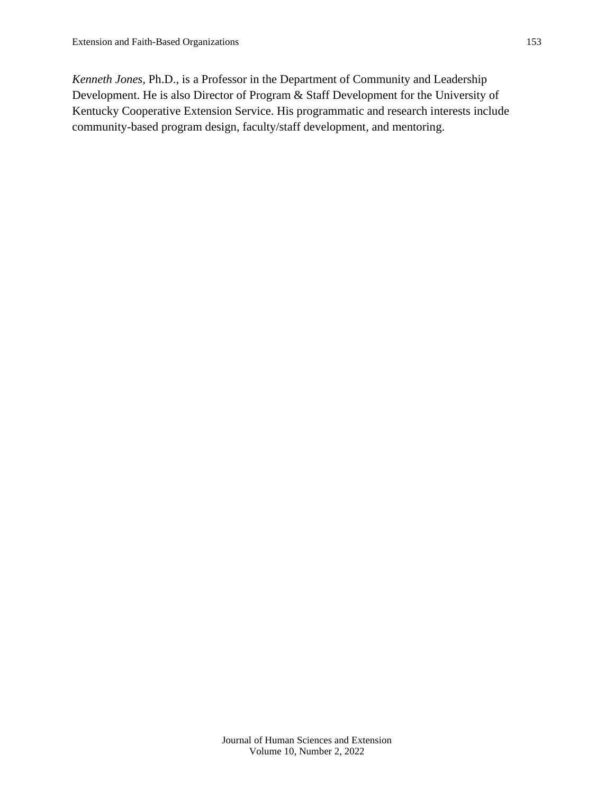*Kenneth Jones,* Ph.D., is a Professor in the Department of Community and Leadership Development. He is also Director of Program & Staff Development for the University of Kentucky Cooperative Extension Service. His programmatic and research interests include community-based program design, faculty/staff development, and mentoring.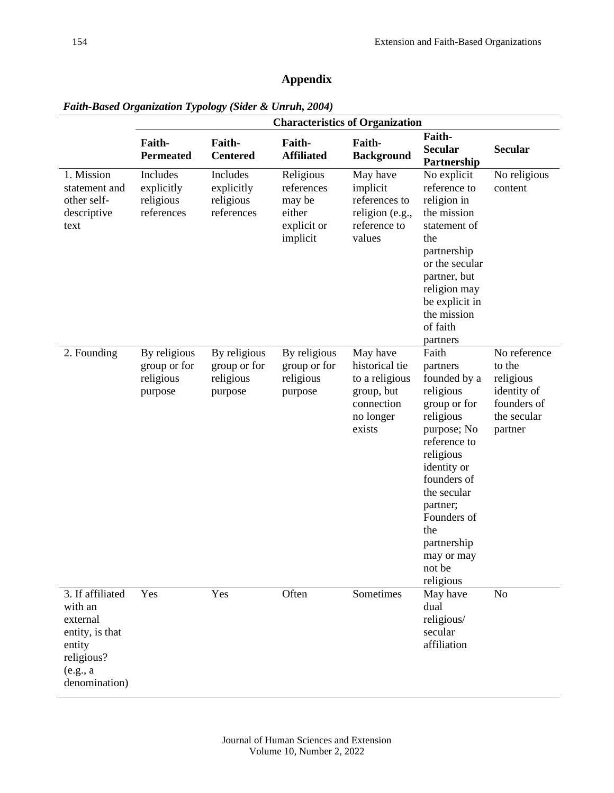# **Appendix**

|                                                                                                                 | <b>Characteristics of Organization</b>               |                                                      |                                                                        |                                                                                                 |                                                                                                                                                                                                                                                            |                                                                                             |  |  |
|-----------------------------------------------------------------------------------------------------------------|------------------------------------------------------|------------------------------------------------------|------------------------------------------------------------------------|-------------------------------------------------------------------------------------------------|------------------------------------------------------------------------------------------------------------------------------------------------------------------------------------------------------------------------------------------------------------|---------------------------------------------------------------------------------------------|--|--|
|                                                                                                                 | Faith-<br><b>Permeated</b>                           | Faith-<br><b>Centered</b>                            | Faith-<br><b>Affiliated</b>                                            | Faith-<br><b>Background</b>                                                                     | Faith-<br><b>Secular</b><br>Partnership                                                                                                                                                                                                                    | <b>Secular</b>                                                                              |  |  |
| 1. Mission<br>statement and<br>other self-<br>descriptive<br>text                                               | Includes<br>explicitly<br>religious<br>references    | Includes<br>explicitly<br>religious<br>references    | Religious<br>references<br>may be<br>either<br>explicit or<br>implicit | May have<br>implicit<br>references to<br>religion (e.g.,<br>reference to<br>values              | No explicit<br>reference to<br>religion in<br>the mission<br>statement of<br>the<br>partnership<br>or the secular<br>partner, but<br>religion may<br>be explicit in<br>the mission<br>of faith<br>partners                                                 | No religious<br>content                                                                     |  |  |
| 2. Founding                                                                                                     | By religious<br>group or for<br>religious<br>purpose | By religious<br>group or for<br>religious<br>purpose | By religious<br>group or for<br>religious<br>purpose                   | May have<br>historical tie<br>to a religious<br>group, but<br>connection<br>no longer<br>exists | Faith<br>partners<br>founded by a<br>religious<br>group or for<br>religious<br>purpose; No<br>reference to<br>religious<br>identity or<br>founders of<br>the secular<br>partner;<br>Founders of<br>the<br>partnership<br>may or may<br>not be<br>religious | No reference<br>to the<br>religious<br>identity of<br>founders of<br>the secular<br>partner |  |  |
| 3. If affiliated<br>with an<br>external<br>entity, is that<br>entity<br>religious?<br>(e.g., a<br>denomination) | Yes                                                  | Yes                                                  | Often                                                                  | Sometimes                                                                                       | May have<br>dual<br>religious/<br>secular<br>affiliation                                                                                                                                                                                                   | No                                                                                          |  |  |

*Faith-Based Organization Typology (Sider & Unruh, 2004)*